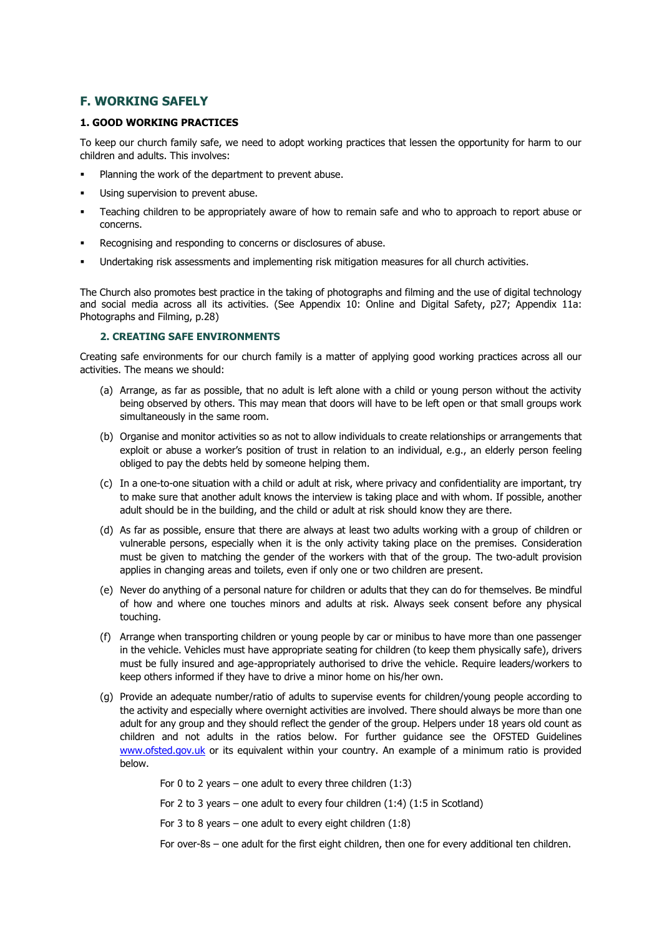# **F. WORKING SAFELY**

## **1. GOOD WORKING PRACTICES**

To keep our church family safe, we need to adopt working practices that lessen the opportunity for harm to our children and adults. This involves:

- Planning the work of the department to prevent abuse.
- Using supervision to prevent abuse.
- Teaching children to be appropriately aware of how to remain safe and who to approach to report abuse or concerns.
- Recognising and responding to concerns or disclosures of abuse.
- Undertaking risk assessments and implementing risk mitigation measures for all church activities.

The Church also promotes best practice in the taking of photographs and filming and the use of digital technology and social media across all its activities. (See Appendix 10: Online and Digital Safety, p27; Appendix 11a: Photographs and Filming, p.28)

#### **2. CREATING SAFE ENVIRONMENTS**

Creating safe environments for our church family is a matter of applying good working practices across all our activities. The means we should:

- (a) Arrange, as far as possible, that no adult is left alone with a child or young person without the activity being observed by others. This may mean that doors will have to be left open or that small groups work simultaneously in the same room.
- (b) Organise and monitor activities so as not to allow individuals to create relationships or arrangements that exploit or abuse a worker's position of trust in relation to an individual, e.g., an elderly person feeling obliged to pay the debts held by someone helping them.
- (c) In a one-to-one situation with a child or adult at risk, where privacy and confidentiality are important, try to make sure that another adult knows the interview is taking place and with whom. If possible, another adult should be in the building, and the child or adult at risk should know they are there.
- (d) As far as possible, ensure that there are always at least two adults working with a group of children or vulnerable persons, especially when it is the only activity taking place on the premises. Consideration must be given to matching the gender of the workers with that of the group. The two-adult provision applies in changing areas and toilets, even if only one or two children are present.
- (e) Never do anything of a personal nature for children or adults that they can do for themselves. Be mindful of how and where one touches minors and adults at risk. Always seek consent before any physical touching.
- (f) Arrange when transporting children or young people by car or minibus to have more than one passenger in the vehicle. Vehicles must have appropriate seating for children (to keep them physically safe), drivers must be fully insured and age-appropriately authorised to drive the vehicle. Require leaders/workers to keep others informed if they have to drive a minor home on his/her own.
- (g) Provide an adequate number/ratio of adults to supervise events for children/young people according to the activity and especially where overnight activities are involved. There should always be more than one adult for any group and they should reflect the gender of the group. Helpers under 18 years old count as children and not adults in the ratios below. For further guidance see the OFSTED Guidelines [www.ofsted.gov.uk](http://www.ofsted.gov.uk/) or its equivalent within your country. An example of a minimum ratio is provided below.

For 0 to 2 years – one adult to every three children  $(1:3)$ 

For 2 to 3 years – one adult to every four children (1:4) (1:5 in Scotland)

For 3 to 8 years – one adult to every eight children  $(1:8)$ 

For over-8s – one adult for the first eight children, then one for every additional ten children.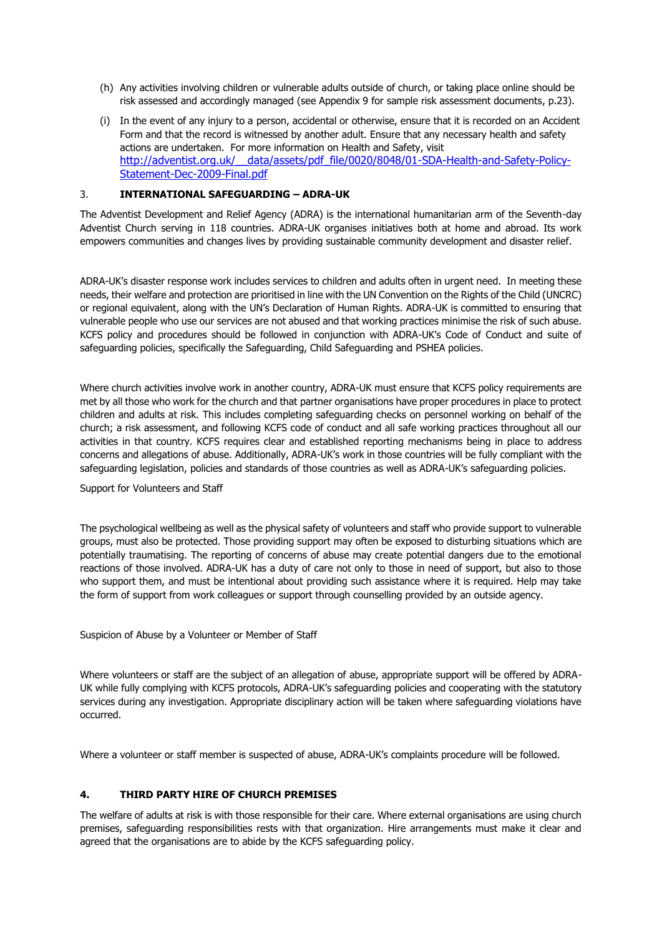- (h) Any activities involving children or vulnerable adults outside of church, or taking place online should be risk assessed and accordingly managed (see Appendix 9 for sample risk assessment documents, p.23).
- (i) In the event of any injury to a person, accidental or otherwise, ensure that it is recorded on an Accident Form and that the record is witnessed by another adult. Ensure that any necessary health and safety actions are undertaken. For more information on Health and Safety, visit [http://adventist.org.uk/\\_\\_data/assets/pdf\\_file/0020/8048/01-SDA-Health-and-Safety-Policy-](http://adventist.org.uk/__data/assets/pdf_file/0020/8048/01-SDA-Health-and-Safety-Policy-Statement-Dec-2009-Final.pdf)[Statement-Dec-2009-Final.pdf](http://adventist.org.uk/__data/assets/pdf_file/0020/8048/01-SDA-Health-and-Safety-Policy-Statement-Dec-2009-Final.pdf)

### 3. **INTERNATIONAL SAFEGUARDING – ADRA-UK**

The Adventist Development and Relief Agency (ADRA) is the international humanitarian arm of the Seventh-day Adventist Church serving in 118 countries. ADRA-UK organises initiatives both at home and abroad. Its work empowers communities and changes lives by providing sustainable community development and disaster relief.

ADRA-UK's disaster response work includes services to children and adults often in urgent need. In meeting these needs, their welfare and protection are prioritised in line with the UN Convention on the Rights of the Child (UNCRC) or regional equivalent, along with the UN's Declaration of Human Rights. ADRA-UK is committed to ensuring that vulnerable people who use our services are not abused and that working practices minimise the risk of such abuse. KCFS policy and procedures should be followed in conjunction with ADRA-UK's Code of Conduct and suite of safeguarding policies, specifically the Safeguarding, Child Safeguarding and PSHEA policies.

Where church activities involve work in another country, ADRA-UK must ensure that KCFS policy requirements are met by all those who work for the church and that partner organisations have proper procedures in place to protect children and adults at risk. This includes completing safeguarding checks on personnel working on behalf of the church; a risk assessment, and following KCFS code of conduct and all safe working practices throughout all our activities in that country. KCFS requires clear and established reporting mechanisms being in place to address concerns and allegations of abuse. Additionally, ADRA-UK's work in those countries will be fully compliant with the safeguarding legislation, policies and standards of those countries as well as ADRA-UK's safeguarding policies.

Support for Volunteers and Staff

The psychological wellbeing as well as the physical safety of volunteers and staff who provide support to vulnerable groups, must also be protected. Those providing support may often be exposed to disturbing situations which are potentially traumatising. The reporting of concerns of abuse may create potential dangers due to the emotional reactions of those involved. ADRA-UK has a duty of care not only to those in need of support, but also to those who support them, and must be intentional about providing such assistance where it is required. Help may take the form of support from work colleagues or support through counselling provided by an outside agency.

Suspicion of Abuse by a Volunteer or Member of Staff

Where volunteers or staff are the subject of an allegation of abuse, appropriate support will be offered by ADRA-UK while fully complying with KCFS protocols, ADRA-UK's safeguarding policies and cooperating with the statutory services during any investigation. Appropriate disciplinary action will be taken where safeguarding violations have occurred.

Where a volunteer or staff member is suspected of abuse, ADRA-UK's complaints procedure will be followed.

#### **4. THIRD PARTY HIRE OF CHURCH PREMISES**

The welfare of adults at risk is with those responsible for their care. Where external organisations are using church premises, safeguarding responsibilities rests with that organization. Hire arrangements must make it clear and agreed that the organisations are to abide by the KCFS safeguarding policy.